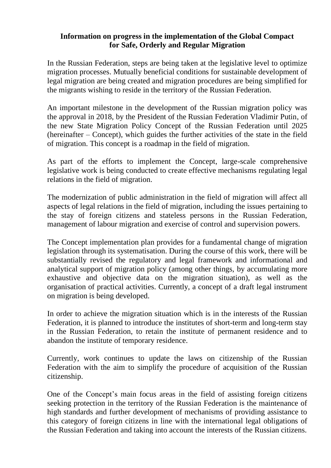## **Information on progress in the implementation of the Global Compact for Safe, Orderly and Regular Migration**

In the Russian Federation, steps are being taken at the legislative level to optimize migration processes. Mutually beneficial conditions for sustainable development of legal migration are being created and migration procedures are being simplified for the migrants wishing to reside in the territory of the Russian Federation.

An important milestone in the development of the Russian migration policy was the approval in 2018, by the President of the Russian Federation Vladimir Putin, of the new State Migration Policy Concept of the Russian Federation until 2025 (hereinafter – Concept), which guides the further activities of the state in the field of migration. This concept is a roadmap in the field of migration.

As part of the efforts to implement the Concept, large-scale comprehensive legislative work is being conducted to create effective mechanisms regulating legal relations in the field of migration.

The modernization of public administration in the field of migration will affect all aspects of legal relations in the field of migration, including the issues pertaining to the stay of foreign citizens and stateless persons in the Russian Federation, management of labour migration and exercise of control and supervision powers.

The Concept implementation plan provides for a fundamental change of migration legislation through its systematisation. During the course of this work, there will be substantially revised the regulatory and legal framework and informational and analytical support of migration policy (among other things, by accumulating more exhaustive and objective data on the migration situation), as well as the organisation of practical activities. Currently, a concept of a draft legal instrument on migration is being developed.

In order to achieve the migration situation which is in the interests of the Russian Federation, it is planned to introduce the institutes of short-term and long-term stay in the Russian Federation, to retain the institute of permanent residence and to abandon the institute of temporary residence.

Currently, work continues to update the laws on citizenship of the Russian Federation with the aim to simplify the procedure of acquisition of the Russian citizenship.

One of the Concept's main focus areas in the field of assisting foreign citizens seeking protection in the territory of the Russian Federation is the maintenance of high standards and further development of mechanisms of providing assistance to this category of foreign citizens in line with the international legal obligations of the Russian Federation and taking into account the interests of the Russian citizens.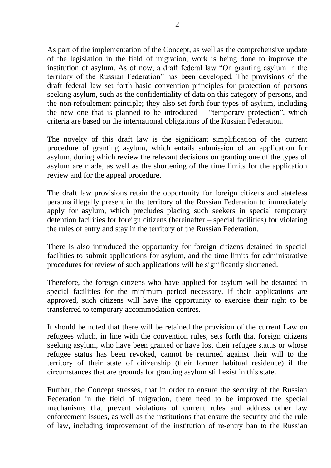As part of the implementation of the Concept, as well as the comprehensive update of the legislation in the field of migration, work is being done to improve the institution of asylum. As of now, a draft federal law "On granting asylum in the territory of the Russian Federation" has been developed. The provisions of the draft federal law set forth basic convention principles for protection of persons seeking asylum, such as the confidentiality of data on this category of persons, and the non-refoulement principle; they also set forth four types of asylum, including the new one that is planned to be introduced – "temporary protection", which criteria are based on the international obligations of the Russian Federation.

The novelty of this draft law is the significant simplification of the current procedure of granting asylum, which entails submission of an application for asylum, during which review the relevant decisions on granting one of the types of asylum are made, as well as the shortening of the time limits for the application review and for the appeal procedure.

The draft law provisions retain the opportunity for foreign citizens and stateless persons illegally present in the territory of the Russian Federation to immediately apply for asylum, which precludes placing such seekers in special temporary detention facilities for foreign citizens (hereinafter – special facilities) for violating the rules of entry and stay in the territory of the Russian Federation.

There is also introduced the opportunity for foreign citizens detained in special facilities to submit applications for asylum, and the time limits for administrative procedures for review of such applications will be significantly shortened.

Therefore, the foreign citizens who have applied for asylum will be detained in special facilities for the minimum period necessary. If their applications are approved, such citizens will have the opportunity to exercise their right to be transferred to temporary accommodation centres.

It should be noted that there will be retained the provision of the current Law on refugees which, in line with the convention rules, sets forth that foreign citizens seeking asylum, who have been granted or have lost their refugee status or whose refugee status has been revoked, cannot be returned against their will to the territory of their state of citizenship (their former habitual residence) if the circumstances that are grounds for granting asylum still exist in this state.

Further, the Concept stresses, that in order to ensure the security of the Russian Federation in the field of migration, there need to be improved the special mechanisms that prevent violations of current rules and address other law enforcement issues, as well as the institutions that ensure the security and the rule of law, including improvement of the institution of re-entry ban to the Russian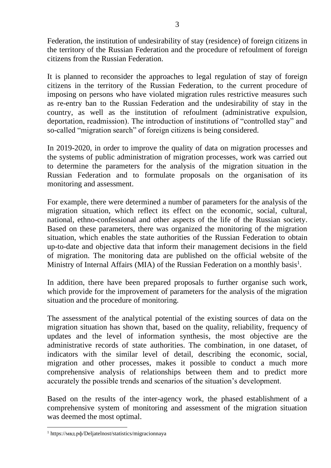Federation, the institution of undesirability of stay (residence) of foreign citizens in the territory of the Russian Federation and the procedure of refoulment of foreign citizens from the Russian Federation.

It is planned to reconsider the approaches to legal regulation of stay of foreign citizens in the territory of the Russian Federation, to the current procedure of imposing on persons who have violated migration rules restrictive measures such as re-entry ban to the Russian Federation and the undesirability of stay in the country, as well as the institution of refoulment (administrative expulsion, deportation, readmission). The introduction of institutions of "controlled stay" and so-called "migration search" of foreign citizens is being considered.

In 2019-2020, in order to improve the quality of data on migration processes and the systems of public administration of migration processes, work was carried out to determine the parameters for the analysis of the migration situation in the Russian Federation and to formulate proposals on the organisation of its monitoring and assessment.

For example, there were determined a number of parameters for the analysis of the migration situation, which reflect its effect on the economic, social, cultural, national, ethno-confessional and other aspects of the life of the Russian society. Based on these parameters, there was organized the monitoring of the migration situation, which enables the state authorities of the Russian Federation to obtain up-to-date and objective data that inform their management decisions in the field of migration. The monitoring data are published on the official website of the Ministry of Internal Affairs (MIA) of the Russian Federation on a monthly basis<sup>1</sup>.

In addition, there have been prepared proposals to further organise such work, which provide for the improvement of parameters for the analysis of the migration situation and the procedure of monitoring.

The assessment of the analytical potential of the existing sources of data on the migration situation has shown that, based on the quality, reliability, frequency of updates and the level of information synthesis, the most objective are the administrative records of state authorities. The combination, in one dataset, of indicators with the similar level of detail, describing the economic, social, migration and other processes, makes it possible to conduct a much more comprehensive analysis of relationships between them and to predict more accurately the possible trends and scenarios of the situation's development.

Based on the results of the inter-agency work, the phased establishment of a comprehensive system of monitoring and assessment of the migration situation was deemed the most optimal.

<sup>1</sup> https://мвд.рф/Deljatelnost/statistics/migracionnaya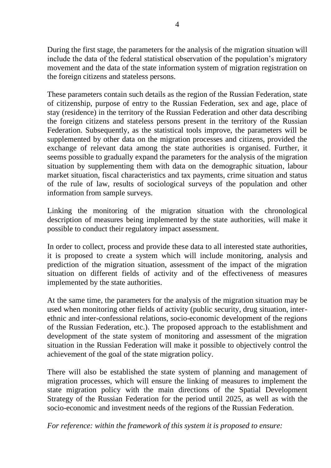During the first stage, the parameters for the analysis of the migration situation will include the data of the federal statistical observation of the population's migratory movement and the data of the state information system of migration registration on the foreign citizens and stateless persons.

These parameters contain such details as the region of the Russian Federation, state of citizenship, purpose of entry to the Russian Federation, sex and age, place of stay (residence) in the territory of the Russian Federation and other data describing the foreign citizens and stateless persons present in the territory of the Russian Federation. Subsequently, as the statistical tools improve, the parameters will be supplemented by other data on the migration processes and citizens, provided the exchange of relevant data among the state authorities is organised. Further, it seems possible to gradually expand the parameters for the analysis of the migration situation by supplementing them with data on the demographic situation, labour market situation, fiscal characteristics and tax payments, crime situation and status of the rule of law, results of sociological surveys of the population and other information from sample surveys.

Linking the monitoring of the migration situation with the chronological description of measures being implemented by the state authorities, will make it possible to conduct their regulatory impact assessment.

In order to collect, process and provide these data to all interested state authorities, it is proposed to create a system which will include monitoring, analysis and prediction of the migration situation, assessment of the impact of the migration situation on different fields of activity and of the effectiveness of measures implemented by the state authorities.

At the same time, the parameters for the analysis of the migration situation may be used when monitoring other fields of activity (public security, drug situation, interethnic and inter-confessional relations, socio-economic development of the regions of the Russian Federation, etc.). The proposed approach to the establishment and development of the state system of monitoring and assessment of the migration situation in the Russian Federation will make it possible to objectively control the achievement of the goal of the state migration policy.

There will also be established the state system of planning and management of migration processes, which will ensure the linking of measures to implement the state migration policy with the main directions of the Spatial Development Strategy of the Russian Federation for the period until 2025, as well as with the socio-economic and investment needs of the regions of the Russian Federation.

*For reference: within the framework of this system it is proposed to ensure:*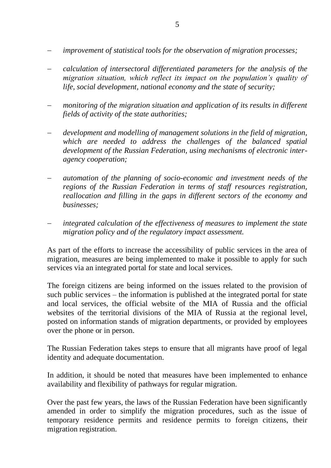- − *improvement of statistical tools for the observation of migration processes;*
- − *calculation of intersectoral differentiated parameters for the analysis of the migration situation, which reflect its impact on the population's quality of life, social development, national economy and the state of security;*
- − *monitoring of the migration situation and application of its results in different fields of activity of the state authorities;*
- − *development and modelling of management solutions in the field of migration, which are needed to address the challenges of the balanced spatial development of the Russian Federation, using mechanisms of electronic interagency cooperation;*
- − *automation of the planning of socio-economic and investment needs of the regions of the Russian Federation in terms of staff resources registration, reallocation and filling in the gaps in different sectors of the economy and businesses;*
- *integrated calculation of the effectiveness of measures to implement the state migration policy and of the regulatory impact assessment.*

As part of the efforts to increase the accessibility of public services in the area of migration, measures are being implemented to make it possible to apply for such services via an integrated portal for state and local services.

The foreign citizens are being informed on the issues related to the provision of such public services – the information is published at the integrated portal for state and local services, the official website of the MIA of Russia and the official websites of the territorial divisions of the MIA of Russia at the regional level, posted on information stands of migration departments, or provided by employees over the phone or in person.

The Russian Federation takes steps to ensure that all migrants have proof of legal identity and adequate documentation.

In addition, it should be noted that measures have been implemented to enhance availability and flexibility of pathways for regular migration.

Over the past few years, the laws of the Russian Federation have been significantly amended in order to simplify the migration procedures, such as the issue of temporary residence permits and residence permits to foreign citizens, their migration registration.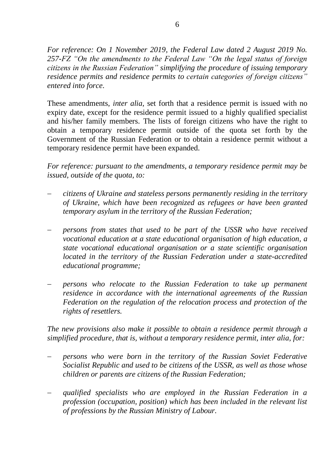*For reference: On 1 November 2019, the Federal Law dated 2 August 2019 No. 257-FZ "On the amendments to the Federal Law "On the legal status of foreign citizens in the Russian Federation" simplifying the procedure of issuing temporary residence permits and residence permits to certain categories of foreign citizens" entered into force.*

These amendments, *inter alia*, set forth that a residence permit is issued with no expiry date, except for the residence permit issued to a highly qualified specialist and his/her family members. The lists of foreign citizens who have the right to obtain a temporary residence permit outside of the quota set forth by the Government of the Russian Federation or to obtain a residence permit without a temporary residence permit have been expanded.

*For reference: pursuant to the amendments, a temporary residence permit may be issued, outside of the quota, to:*

- − *citizens of Ukraine and stateless persons permanently residing in the territory of Ukraine, which have been recognized as refugees or have been granted temporary asylum in the territory of the Russian Federation;*
- − *persons from states that used to be part of the USSR who have received vocational education at a state educational organisation of high education, a state vocational educational organisation or a state scientific organisation located in the territory of the Russian Federation under a state-accredited educational programme;*
- − *persons who relocate to the Russian Federation to take up permanent residence in accordance with the international agreements of the Russian Federation on the regulation of the relocation process and protection of the rights of resettlers.*

*The new provisions also make it possible to obtain a residence permit through a simplified procedure, that is, without a temporary residence permit, inter alia, for:*

- − *persons who were born in the territory of the Russian Soviet Federative Socialist Republic and used to be citizens of the USSR, as well as those whose children or parents are citizens of the Russian Federation;*
- − *qualified specialists who are employed in the Russian Federation in a profession (occupation, position) which has been included in the relevant list of professions by the Russian Ministry of Labour.*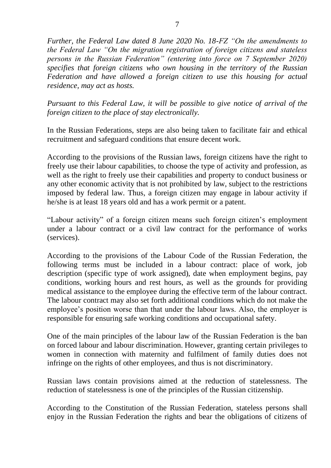*Further, the Federal Law dated 8 June 2020 No. 18-FZ "On the amendments to the Federal Law "On the migration registration of foreign citizens and stateless persons in the Russian Federation" (entering into force on 7 September 2020) specifies that foreign citizens who own housing in the territory of the Russian Federation and have allowed a foreign citizen to use this housing for actual residence, may act as hosts.* 

*Pursuant to this Federal Law, it will be possible to give notice of arrival of the foreign citizen to the place of stay electronically.*

In the Russian Federations, steps are also being taken to facilitate fair and ethical recruitment and safeguard conditions that ensure decent work.

According to the provisions of the Russian laws, foreign citizens have the right to freely use their labour capabilities, to choose the type of activity and profession, as well as the right to freely use their capabilities and property to conduct business or any other economic activity that is not prohibited by law, subject to the restrictions imposed by federal law. Thus, a foreign citizen may engage in labour activity if he/she is at least 18 years old and has a work permit or a patent.

"Labour activity" of a foreign citizen means such foreign citizen's employment under a labour contract or a civil law contract for the performance of works (services).

According to the provisions of the Labour Code of the Russian Federation, the following terms must be included in a labour contract: place of work, job description (specific type of work assigned), date when employment begins, pay conditions, working hours and rest hours, as well as the grounds for providing medical assistance to the employee during the effective term of the labour contract. The labour contract may also set forth additional conditions which do not make the employee's position worse than that under the labour laws. Also, the employer is responsible for ensuring safe working conditions and occupational safety.

One of the main principles of the labour law of the Russian Federation is the ban on forced labour and labour discrimination. However, granting certain privileges to women in connection with maternity and fulfilment of family duties does not infringe on the rights of other employees, and thus is not discriminatory.

Russian laws contain provisions aimed at the reduction of statelessness. The reduction of statelessness is one of the principles of the Russian citizenship.

According to the Constitution of the Russian Federation, stateless persons shall enjoy in the Russian Federation the rights and bear the obligations of citizens of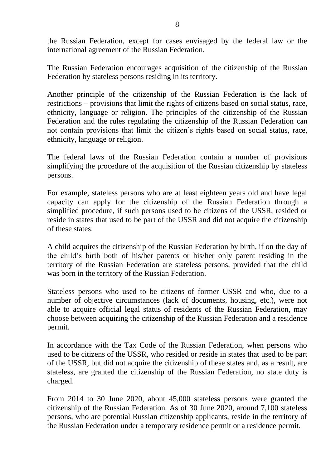the Russian Federation, except for cases envisaged by the federal law or the international agreement of the Russian Federation.

The Russian Federation encourages acquisition of the citizenship of the Russian Federation by stateless persons residing in its territory.

Another principle of the citizenship of the Russian Federation is the lack of restrictions – provisions that limit the rights of citizens based on social status, race, ethnicity, language or religion. The principles of the citizenship of the Russian Federation and the rules regulating the citizenship of the Russian Federation can not contain provisions that limit the citizen's rights based on social status, race, ethnicity, language or religion.

The federal laws of the Russian Federation contain a number of provisions simplifying the procedure of the acquisition of the Russian citizenship by stateless persons.

For example, stateless persons who are at least eighteen years old and have legal capacity can apply for the citizenship of the Russian Federation through a simplified procedure, if such persons used to be citizens of the USSR, resided or reside in states that used to be part of the USSR and did not acquire the citizenship of these states.

A child acquires the citizenship of the Russian Federation by birth, if on the day of the child's birth both of his/her parents or his/her only parent residing in the territory of the Russian Federation are stateless persons, provided that the child was born in the territory of the Russian Federation.

Stateless persons who used to be citizens of former USSR and who, due to a number of objective circumstances (lack of documents, housing, etc.), were not able to acquire official legal status of residents of the Russian Federation, may choose between acquiring the citizenship of the Russian Federation and a residence permit.

In accordance with the Tax Code of the Russian Federation, when persons who used to be citizens of the USSR, who resided or reside in states that used to be part of the USSR, but did not acquire the citizenship of these states and, as a result, are stateless, are granted the citizenship of the Russian Federation, no state duty is charged.

From 2014 to 30 June 2020, about 45,000 stateless persons were granted the citizenship of the Russian Federation. As of 30 June 2020, around 7,100 stateless persons, who are potential Russian citizenship applicants, reside in the territory of the Russian Federation under a temporary residence permit or a residence permit.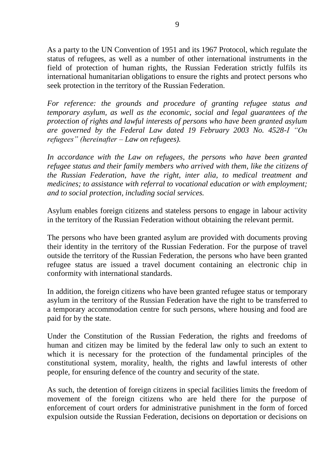As a party to the UN Convention of 1951 and its 1967 Protocol, which regulate the status of refugees, as well as a number of other international instruments in the field of protection of human rights, the Russian Federation strictly fulfils its international humanitarian obligations to ensure the rights and protect persons who seek protection in the territory of the Russian Federation.

*For reference: the grounds and procedure of granting refugee status and temporary asylum, as well as the economic, social and legal guarantees of the protection of rights and lawful interests of persons who have been granted asylum are governed by the Federal Law dated 19 February 2003 No. 4528-I "On refugees" (hereinafter – Law on refugees).*

In accordance with the Law on refugees, the persons who have been granted *refugee status and their family members who arrived with them, like the citizens of the Russian Federation, have the right, inter alia, to medical treatment and medicines; to assistance with referral to vocational education or with employment; and to social protection, including social services.* 

Asylum enables foreign citizens and stateless persons to engage in labour activity in the territory of the Russian Federation without obtaining the relevant permit.

The persons who have been granted asylum are provided with documents proving their identity in the territory of the Russian Federation. For the purpose of travel outside the territory of the Russian Federation, the persons who have been granted refugee status are issued a travel document containing an electronic chip in conformity with international standards.

In addition, the foreign citizens who have been granted refugee status or temporary asylum in the territory of the Russian Federation have the right to be transferred to a temporary accommodation centre for such persons, where housing and food are paid for by the state.

Under the Constitution of the Russian Federation, the rights and freedoms of human and citizen may be limited by the federal law only to such an extent to which it is necessary for the protection of the fundamental principles of the constitutional system, morality, health, the rights and lawful interests of other people, for ensuring defence of the country and security of the state.

As such, the detention of foreign citizens in special facilities limits the freedom of movement of the foreign citizens who are held there for the purpose of enforcement of court orders for administrative punishment in the form of forced expulsion outside the Russian Federation, decisions on deportation or decisions on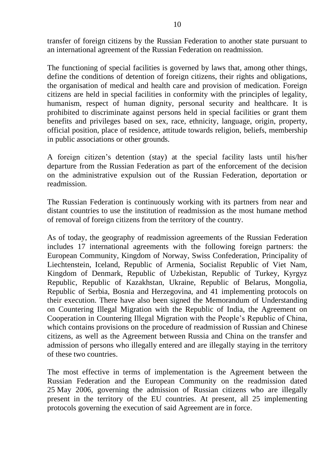transfer of foreign citizens by the Russian Federation to another state pursuant to an international agreement of the Russian Federation on readmission.

The functioning of special facilities is governed by laws that, among other things, define the conditions of detention of foreign citizens, their rights and obligations, the organisation of medical and health care and provision of medication. Foreign citizens are held in special facilities in conformity with the principles of legality, humanism, respect of human dignity, personal security and healthcare. It is prohibited to discriminate against persons held in special facilities or grant them benefits and privileges based on sex, race, ethnicity, language, origin, property, official position, place of residence, attitude towards religion, beliefs, membership in public associations or other grounds.

A foreign citizen's detention (stay) at the special facility lasts until his/her departure from the Russian Federation as part of the enforcement of the decision on the administrative expulsion out of the Russian Federation, deportation or readmission.

The Russian Federation is continuously working with its partners from near and distant countries to use the institution of readmission as the most humane method of removal of foreign citizens from the territory of the country.

As of today, the geography of readmission agreements of the Russian Federation includes 17 international agreements with the following foreign partners: the European Community, Kingdom of Norway, Swiss Confederation, Principality of Liechtenstein, Iceland, Republic of Armenia, Socialist Republic of Viet Nam, Kingdom of Denmark, Republic of Uzbekistan, Republic of Turkey, Kyrgyz Republic, Republic of Kazakhstan, Ukraine, Republic of Belarus, Mongolia, Republic of Serbia, Bosnia and Herzegovina, and 41 implementing protocols on their execution. There have also been signed the Memorandum of Understanding on Countering Illegal Migration with the Republic of India, the Agreement on Cooperation in Countering Illegal Migration with the People's Republic of China, which contains provisions on the procedure of readmission of Russian and Chinese citizens, as well as the Agreement between Russia and China on the transfer and admission of persons who illegally entered and are illegally staying in the territory of these two countries.

The most effective in terms of implementation is the Agreement between the Russian Federation and the European Community on the readmission dated 25 May 2006, governing the admission of Russian citizens who are illegally present in the territory of the EU countries. At present, all 25 implementing protocols governing the execution of said Agreement are in force.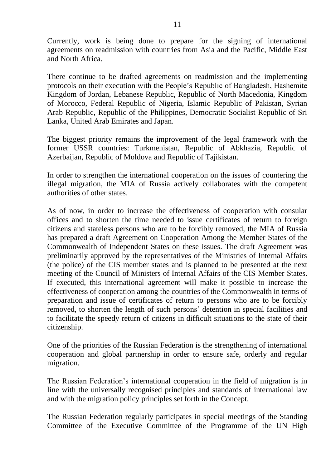Currently, work is being done to prepare for the signing of international agreements on readmission with countries from Asia and the Pacific, Middle East and North Africa.

There continue to be drafted agreements on readmission and the implementing protocols on their execution with the People's Republic of Bangladesh, Hashemite Kingdom of Jordan, Lebanese Republic, Republic of North Macedonia, Kingdom of Morocco, Federal Republic of Nigeria, Islamic Republic of Pakistan, Syrian Arab Republic, Republic of the Philippines, Democratic Socialist Republic of Sri Lanka, United Arab Emirates and Japan.

The biggest priority remains the improvement of the legal framework with the former USSR countries: Turkmenistan, Republic of Abkhazia, Republic of Azerbaijan, Republic of Moldova and Republic of Tajikistan.

In order to strengthen the international cooperation on the issues of countering the illegal migration, the MIA of Russia actively collaborates with the competent authorities of other states.

As of now, in order to increase the effectiveness of cooperation with consular offices and to shorten the time needed to issue certificates of return to foreign citizens and stateless persons who are to be forcibly removed, the MIA of Russia has prepared a draft Agreement on Cooperation Among the Member States of the Commonwealth of Independent States on these issues. The draft Agreement was preliminarily approved by the representatives of the Ministries of Internal Affairs (the police) of the CIS member states and is planned to be presented at the next meeting of the Council of Ministers of Internal Affairs of the CIS Member States. If executed, this international agreement will make it possible to increase the effectiveness of cooperation among the countries of the Commonwealth in terms of preparation and issue of certificates of return to persons who are to be forcibly removed, to shorten the length of such persons' detention in special facilities and to facilitate the speedy return of citizens in difficult situations to the state of their citizenship.

One of the priorities of the Russian Federation is the strengthening of international cooperation and global partnership in order to ensure safe, orderly and regular migration.

The Russian Federation's international cooperation in the field of migration is in line with the universally recognised principles and standards of international law and with the migration policy principles set forth in the Concept.

The Russian Federation regularly participates in special meetings of the Standing Committee of the Executive Committee of the Programme of the UN High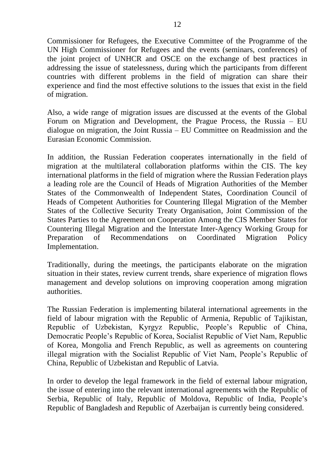Commissioner for Refugees, the Executive Committee of the Programme of the UN High Commissioner for Refugees and the events (seminars, conferences) of the joint project of UNHCR and OSCE on the exchange of best practices in addressing the issue of statelessness, during which the participants from different countries with different problems in the field of migration can share their experience and find the most effective solutions to the issues that exist in the field of migration.

Also, a wide range of migration issues are discussed at the events of the Global Forum on Migration and Development, the Prague Process, the Russia – EU dialogue on migration, the Joint Russia – EU Committee on Readmission and the Eurasian Economic Commission.

In addition, the Russian Federation cooperates internationally in the field of migration at the multilateral collaboration platforms within the CIS. The key international platforms in the field of migration where the Russian Federation plays a leading role are the Council of Heads of Migration Authorities of the Member States of the Commonwealth of Independent States, Coordination Council of Heads of Competent Authorities for Countering Illegal Migration of the Member States of the Collective Security Treaty Organisation, Joint Commission of the States Parties to the Agreement on Cooperation Among the CIS Member States for Countering Illegal Migration and the Interstate Inter-Agency Working Group for Preparation of Recommendations on Coordinated Migration Policy Implementation.

Traditionally, during the meetings, the participants elaborate on the migration situation in their states, review current trends, share experience of migration flows management and develop solutions on improving cooperation among migration authorities.

The Russian Federation is implementing bilateral international agreements in the field of labour migration with the Republic of Armenia, Republic of Tajikistan, Republic of Uzbekistan, Kyrgyz Republic, People's Republic of China, Democratic People's Republic of Korea, Socialist Republic of Viet Nam, Republic of Korea, Mongolia and French Republic, as well as agreements on countering illegal migration with the Socialist Republic of Viet Nam, People's Republic of China, Republic of Uzbekistan and Republic of Latvia.

In order to develop the legal framework in the field of external labour migration, the issue of entering into the relevant international agreements with the Republic of Serbia, Republic of Italy, Republic of Moldova, Republic of India, People's Republic of Bangladesh and Republic of Azerbaijan is currently being considered.